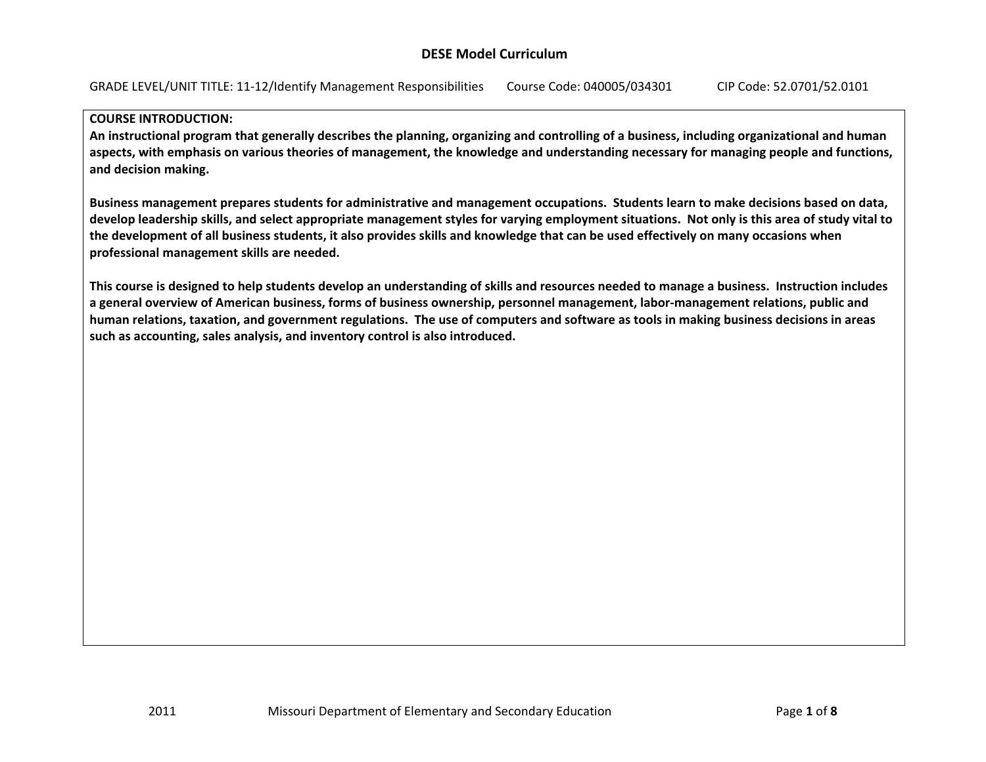### **COURSE INTRODUCTION:**

An instructional program that generally describes the planning, organizing and controlling of a business, including organizational and human aspects, with emphasis on various theories of management, the knowledge and understanding necessary for managing people and functions, **and decision making.**

Business management prepares students for administrative and management occupations. Students learn to make decisions based on data, develop leadership skills, and select appropriate management styles for varying employment situations. Not only is this area of study vital to the development of all business students, it also provides skills and knowledge that can be used effectively on many occasions when **professional management skills are needed.**

This course is designed to help students develop an understanding of skills and resources needed to manage a business. Instruction includes a general overview of American business, forms of business ownership, personnel management, labor-management relations, public and human relations, taxation, and government regulations. The use of computers and software as tools in making business decisions in areas **such as accounting, sales analysis, and inventory control is also introduced.**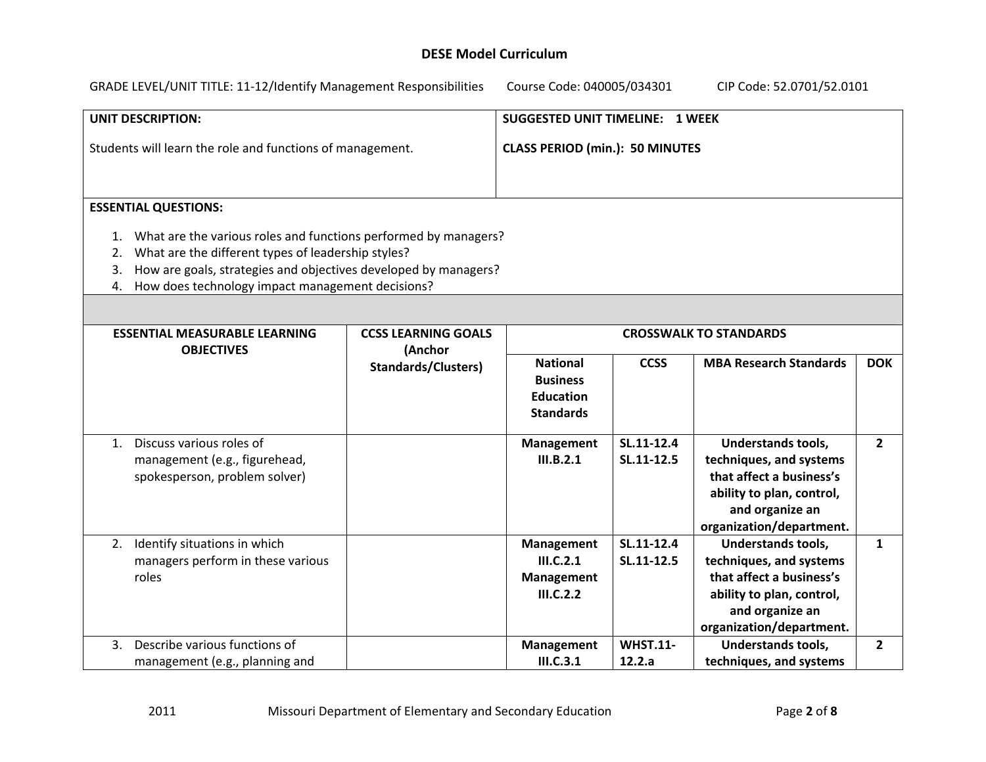GRADE LEVEL/UNIT TITLE: 11‐12/Identify Management Responsibilities Course Code: 040005/034301 CIP Code: 52.0701/52.0101

| UNIT DESCRIPTION:                                         | <b>SUGGESTED UNIT TIMELINE: 1 WEEK</b> |
|-----------------------------------------------------------|----------------------------------------|
| Students will learn the role and functions of management. | CLASS PERIOD (min.): 50 MINUTES        |
|                                                           |                                        |

#### **ESSENTIAL QUESTIONS:**

2011

- 1. What are the various roles and functions performed by managers?
- 2. What are the different types of leadership styles?
- 3. How are goals, strategies and objectives developed by managers?
- 4. How does technology impact management decisions?

| <b>ESSENTIAL MEASURABLE LEARNING</b>                                                                         | <b>CCSS LEARNING GOALS</b>            | <b>CROSSWALK TO STANDARDS</b>                                              |                           |                                                                                                                                                              |                |
|--------------------------------------------------------------------------------------------------------------|---------------------------------------|----------------------------------------------------------------------------|---------------------------|--------------------------------------------------------------------------------------------------------------------------------------------------------------|----------------|
| <b>OBJECTIVES</b>                                                                                            | (Anchor<br><b>Standards/Clusters)</b> | <b>National</b><br><b>Business</b><br><b>Education</b><br><b>Standards</b> | <b>CCSS</b>               | <b>MBA Research Standards</b>                                                                                                                                | <b>DOK</b>     |
| Discuss various roles of<br>$\mathbf{1}$ .<br>management (e.g., figurehead,<br>spokesperson, problem solver) |                                       | Management<br>III.B.2.1                                                    | SL.11-12.4<br>SL.11-12.5  | <b>Understands tools,</b><br>techniques, and systems<br>that affect a business's<br>ability to plan, control,<br>and organize an<br>organization/department. | $\overline{2}$ |
| Identify situations in which<br>2.<br>managers perform in these various<br>roles                             |                                       | <b>Management</b><br>III.C.2.1<br>Management<br>III.C.2.2                  | SL.11-12.4<br>SL.11-12.5  | <b>Understands tools,</b><br>techniques, and systems<br>that affect a business's<br>ability to plan, control,<br>and organize an<br>organization/department. | 1              |
| Describe various functions of<br>3.<br>management (e.g., planning and                                        |                                       | Management<br>III.C.3.1                                                    | <b>WHST.11-</b><br>12.2.a | <b>Understands tools,</b><br>techniques, and systems                                                                                                         | $\overline{2}$ |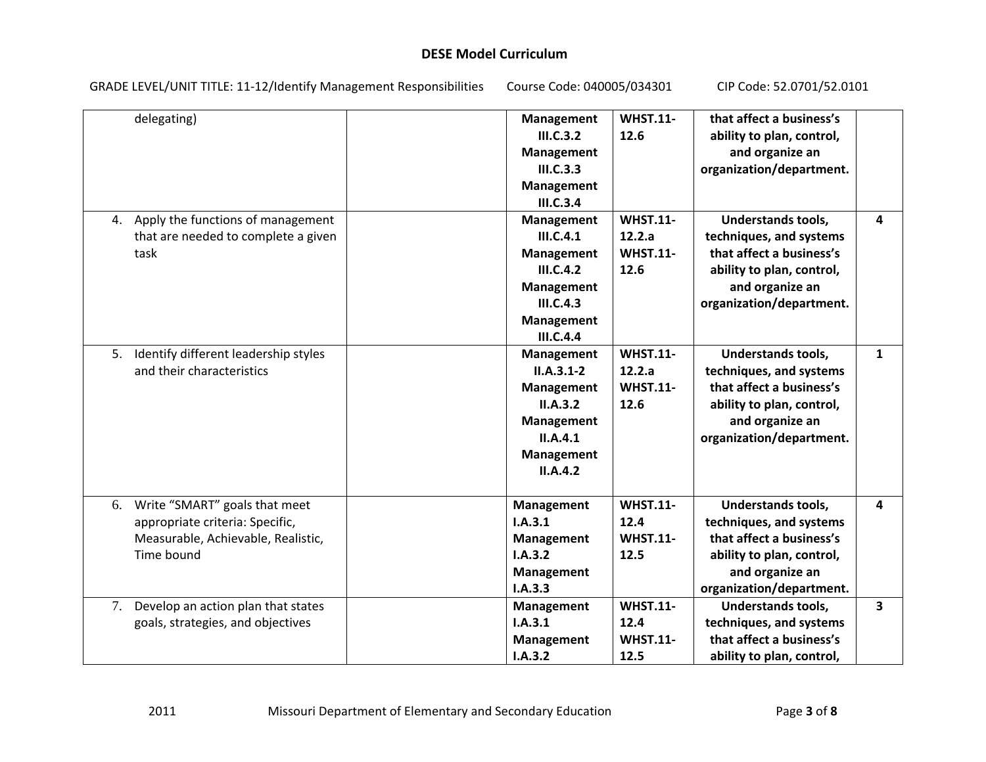GRADE LEVEL/UNIT TITLE: 11‐12/Identify Management Responsibilities Course Code: 040005/034301 CIP Code: 52.0701/52.0101

| delegating)                                                                                                             | Management<br>III.C.3.2<br>Management<br>III.C.3.3<br>Management<br>III.C.3.4                                   | <b>WHST.11-</b><br>12.6                              | that affect a business's<br>ability to plan, control,<br>and organize an<br>organization/department.                                                         |                         |
|-------------------------------------------------------------------------------------------------------------------------|-----------------------------------------------------------------------------------------------------------------|------------------------------------------------------|--------------------------------------------------------------------------------------------------------------------------------------------------------------|-------------------------|
| 4. Apply the functions of management<br>that are needed to complete a given<br>task                                     | Management<br>III.C.4.1<br>Management<br>III.C.4.2<br>Management<br>III.C.4.3<br>Management<br><b>III.C.4.4</b> | <b>WHST.11-</b><br>12.2.a<br><b>WHST.11-</b><br>12.6 | <b>Understands tools,</b><br>techniques, and systems<br>that affect a business's<br>ability to plan, control,<br>and organize an<br>organization/department. | 4                       |
| 5. Identify different leadership styles<br>and their characteristics                                                    | Management<br>$II.A.3.1-2$<br>Management<br>II.A.3.2<br>Management<br>II.A.4.1<br>Management<br>II.A.4.2        | <b>WHST.11-</b><br>12.2.a<br><b>WHST.11-</b><br>12.6 | <b>Understands tools,</b><br>techniques, and systems<br>that affect a business's<br>ability to plan, control,<br>and organize an<br>organization/department. | $\mathbf{1}$            |
| 6. Write "SMART" goals that meet<br>appropriate criteria: Specific,<br>Measurable, Achievable, Realistic,<br>Time bound | Management<br>I.A.3.1<br>Management<br>I.A.3.2<br>Management<br>I.A.3.3                                         | <b>WHST.11-</b><br>12.4<br><b>WHST.11-</b><br>12.5   | <b>Understands tools,</b><br>techniques, and systems<br>that affect a business's<br>ability to plan, control,<br>and organize an<br>organization/department. | 4                       |
| Develop an action plan that states<br>7.<br>goals, strategies, and objectives                                           | Management<br>I.A.3.1<br>Management<br>I.A.3.2                                                                  | <b>WHST.11-</b><br>12.4<br><b>WHST.11-</b><br>12.5   | Understands tools,<br>techniques, and systems<br>that affect a business's<br>ability to plan, control,                                                       | $\overline{\mathbf{3}}$ |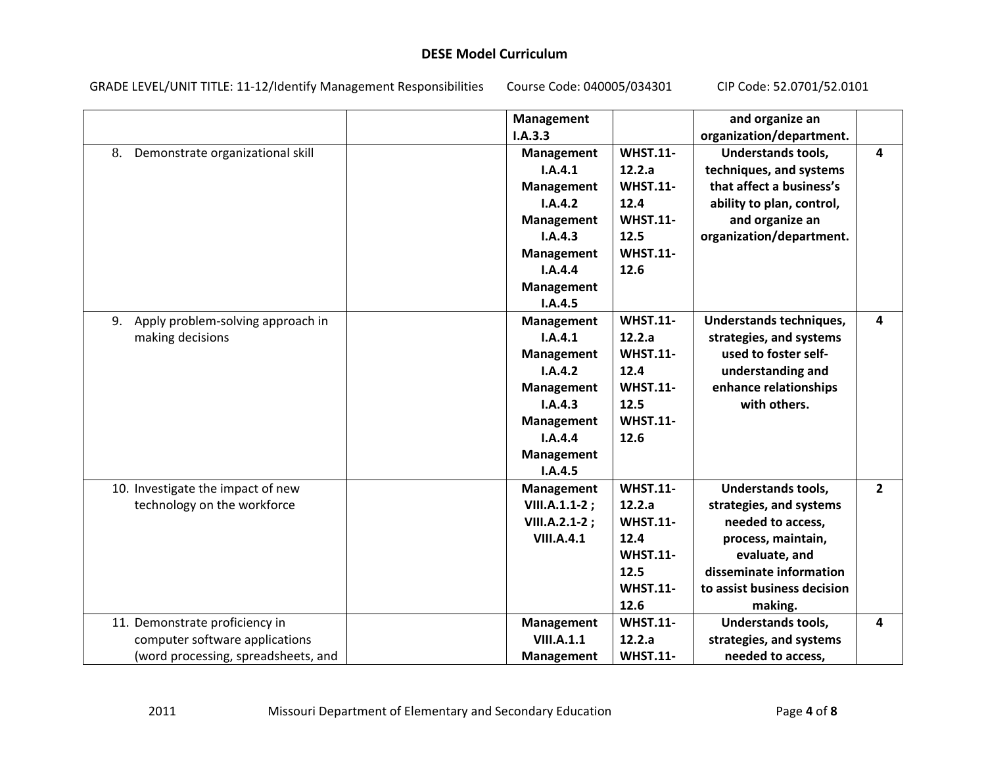GRADE LEVEL/UNIT TITLE: 11‐12/Identify Management Responsibilities Course Code: 040005/034301 CIP Code: 52.0701/52.0101

|                                         | Management        |                 | and organize an             |                |
|-----------------------------------------|-------------------|-----------------|-----------------------------|----------------|
|                                         | I.A.3.3           |                 | organization/department.    |                |
| Demonstrate organizational skill<br>8.  | <b>Management</b> | <b>WHST.11-</b> | <b>Understands tools,</b>   | $\overline{4}$ |
|                                         | I.A.4.1           | 12.2.a          | techniques, and systems     |                |
|                                         | Management        | <b>WHST.11-</b> | that affect a business's    |                |
|                                         | I.A.4.2           | 12.4            | ability to plan, control,   |                |
|                                         | Management        | <b>WHST.11-</b> | and organize an             |                |
|                                         | I.A.4.3           | 12.5            | organization/department.    |                |
|                                         | <b>Management</b> | <b>WHST.11-</b> |                             |                |
|                                         | I.A.4.4           | 12.6            |                             |                |
|                                         | Management        |                 |                             |                |
|                                         | I.A.4.5           |                 |                             |                |
| Apply problem-solving approach in<br>9. | Management        | <b>WHST.11-</b> | Understands techniques,     | 4              |
| making decisions                        | I.A.4.1           | 12.2.a          | strategies, and systems     |                |
|                                         | Management        | <b>WHST.11-</b> | used to foster self-        |                |
|                                         | I.A.4.2           | 12.4            | understanding and           |                |
|                                         | Management        | <b>WHST.11-</b> | enhance relationships       |                |
|                                         | I.A.4.3           | 12.5            | with others.                |                |
|                                         | Management        | <b>WHST.11-</b> |                             |                |
|                                         | I.A.4.4           | 12.6            |                             |                |
|                                         | Management        |                 |                             |                |
|                                         | I.A.4.5           |                 |                             |                |
| 10. Investigate the impact of new       | <b>Management</b> | <b>WHST.11-</b> | <b>Understands tools,</b>   | $\overline{2}$ |
| technology on the workforce             | VIII.A.1.1-2;     | 12.2.a          | strategies, and systems     |                |
|                                         | VIII.A.2.1-2;     | <b>WHST.11-</b> | needed to access,           |                |
|                                         | <b>VIII.A.4.1</b> | 12.4            | process, maintain,          |                |
|                                         |                   | <b>WHST.11-</b> | evaluate, and               |                |
|                                         |                   | 12.5            | disseminate information     |                |
|                                         |                   | <b>WHST.11-</b> | to assist business decision |                |
|                                         |                   | 12.6            | making.                     |                |
| 11. Demonstrate proficiency in          | Management        | <b>WHST.11-</b> | <b>Understands tools,</b>   | 4              |
| computer software applications          | <b>VIII.A.1.1</b> | 12.2.a          | strategies, and systems     |                |
| (word processing, spreadsheets, and     | <b>Management</b> | <b>WHST.11-</b> | needed to access,           |                |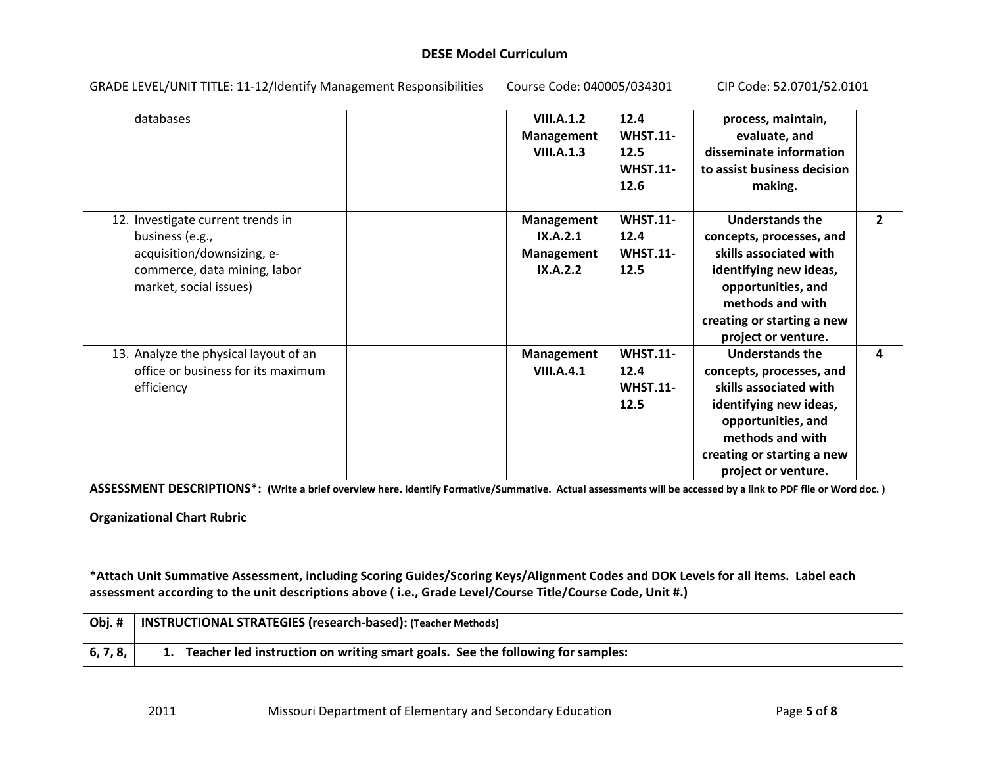GRADE LEVEL/UNIT TITLE: 11‐12/Identify Management Responsibilities Course Code: 040005/034301 CIP Code: 52.0701/52.0101

| databases                                                                                                                                                     | <b>VIII.A.1.2</b>                                                                 | 12.4            | process, maintain,                            |                |
|---------------------------------------------------------------------------------------------------------------------------------------------------------------|-----------------------------------------------------------------------------------|-----------------|-----------------------------------------------|----------------|
|                                                                                                                                                               | Management                                                                        | <b>WHST.11-</b> | evaluate, and                                 |                |
|                                                                                                                                                               | <b>VIII.A.1.3</b>                                                                 | 12.5            | disseminate information                       |                |
|                                                                                                                                                               |                                                                                   | <b>WHST.11-</b> | to assist business decision                   |                |
|                                                                                                                                                               |                                                                                   | 12.6            | making.                                       |                |
|                                                                                                                                                               |                                                                                   |                 |                                               |                |
| 12. Investigate current trends in                                                                                                                             | <b>Management</b>                                                                 | <b>WHST.11-</b> | <b>Understands the</b>                        | $\overline{2}$ |
| business (e.g.,                                                                                                                                               | IX.A.2.1                                                                          | 12.4            | concepts, processes, and                      |                |
| acquisition/downsizing, e-                                                                                                                                    | <b>Management</b>                                                                 | <b>WHST.11-</b> | skills associated with                        |                |
| commerce, data mining, labor                                                                                                                                  | IX.A.2.2                                                                          | 12.5            | identifying new ideas,                        |                |
| market, social issues)                                                                                                                                        |                                                                                   |                 | opportunities, and                            |                |
|                                                                                                                                                               |                                                                                   |                 | methods and with                              |                |
|                                                                                                                                                               |                                                                                   |                 | creating or starting a new                    |                |
| 13. Analyze the physical layout of an                                                                                                                         | <b>Management</b>                                                                 | <b>WHST.11-</b> | project or venture.<br><b>Understands the</b> | 4              |
| office or business for its maximum                                                                                                                            | <b>VIII.A.4.1</b>                                                                 | 12.4            | concepts, processes, and                      |                |
| efficiency                                                                                                                                                    |                                                                                   | <b>WHST.11-</b> | skills associated with                        |                |
|                                                                                                                                                               |                                                                                   | 12.5            | identifying new ideas,                        |                |
|                                                                                                                                                               |                                                                                   |                 | opportunities, and                            |                |
|                                                                                                                                                               |                                                                                   |                 | methods and with                              |                |
|                                                                                                                                                               |                                                                                   |                 | creating or starting a new                    |                |
|                                                                                                                                                               |                                                                                   |                 | project or venture.                           |                |
| ASSESSMENT DESCRIPTIONS*: (Write a brief overview here. Identify Formative/Summative. Actual assessments will be accessed by a link to PDF file or Word doc.) |                                                                                   |                 |                                               |                |
| <b>Organizational Chart Rubric</b>                                                                                                                            |                                                                                   |                 |                                               |                |
|                                                                                                                                                               |                                                                                   |                 |                                               |                |
|                                                                                                                                                               |                                                                                   |                 |                                               |                |
|                                                                                                                                                               |                                                                                   |                 |                                               |                |
| *Attach Unit Summative Assessment, including Scoring Guides/Scoring Keys/Alignment Codes and DOK Levels for all items. Label each                             |                                                                                   |                 |                                               |                |
| assessment according to the unit descriptions above (i.e., Grade Level/Course Title/Course Code, Unit #.)                                                     |                                                                                   |                 |                                               |                |
| Obj.#<br><b>INSTRUCTIONAL STRATEGIES (research-based): (Teacher Methods)</b>                                                                                  |                                                                                   |                 |                                               |                |
|                                                                                                                                                               |                                                                                   |                 |                                               |                |
| 6, 7, 8,                                                                                                                                                      | 1. Teacher led instruction on writing smart goals. See the following for samples: |                 |                                               |                |

2011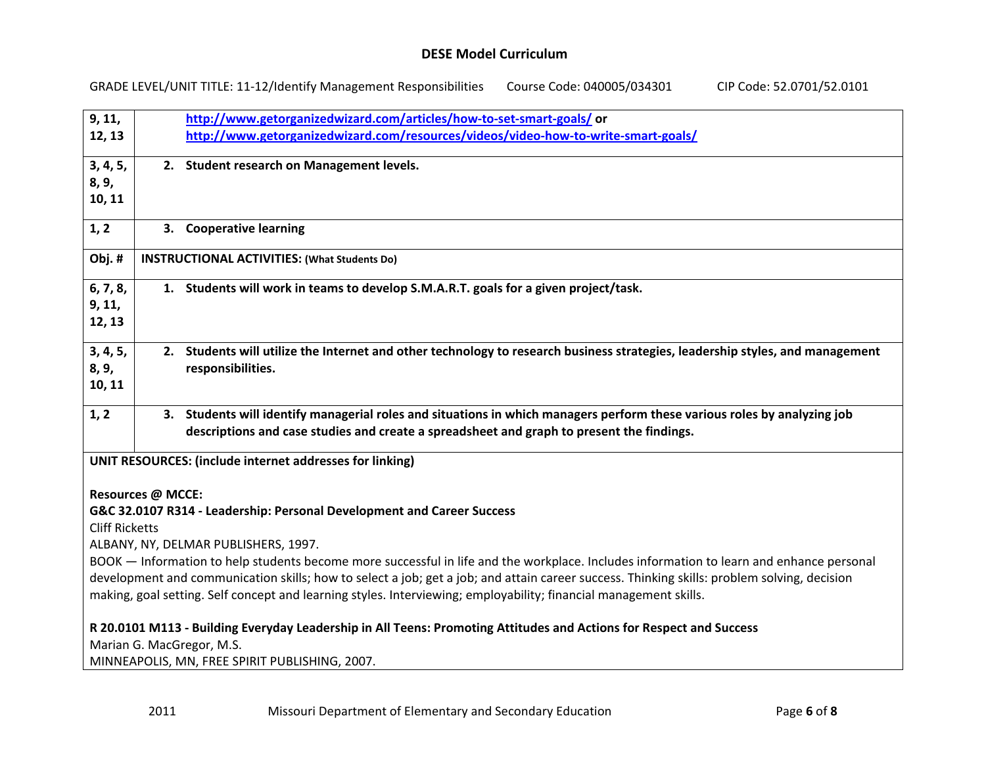|                              | GRADE LEVEL/UNIT TITLE: 11-12/Identify Management Responsibilities<br>Course Code: 040005/034301<br>CIP Code: 52.0701/52.0101                                                                                                                                                                                                                                                                                |
|------------------------------|--------------------------------------------------------------------------------------------------------------------------------------------------------------------------------------------------------------------------------------------------------------------------------------------------------------------------------------------------------------------------------------------------------------|
| 9, 11,                       | http://www.getorganizedwizard.com/articles/how-to-set-smart-goals/ or                                                                                                                                                                                                                                                                                                                                        |
| 12, 13                       | http://www.getorganizedwizard.com/resources/videos/video-how-to-write-smart-goals/                                                                                                                                                                                                                                                                                                                           |
| 3, 4, 5,<br>8, 9,<br>10, 11  | 2. Student research on Management levels.                                                                                                                                                                                                                                                                                                                                                                    |
| 1, 2                         | 3. Cooperative learning                                                                                                                                                                                                                                                                                                                                                                                      |
| Obj.#                        | <b>INSTRUCTIONAL ACTIVITIES: (What Students Do)</b>                                                                                                                                                                                                                                                                                                                                                          |
| 6, 7, 8,<br>9, 11,<br>12, 13 | 1. Students will work in teams to develop S.M.A.R.T. goals for a given project/task.                                                                                                                                                                                                                                                                                                                         |
| 3, 4, 5,<br>8, 9,<br>10, 11  | 2. Students will utilize the Internet and other technology to research business strategies, leadership styles, and management<br>responsibilities.                                                                                                                                                                                                                                                           |
| 1, 2                         | 3. Students will identify managerial roles and situations in which managers perform these various roles by analyzing job<br>descriptions and case studies and create a spreadsheet and graph to present the findings.                                                                                                                                                                                        |
|                              | UNIT RESOURCES: (include internet addresses for linking)                                                                                                                                                                                                                                                                                                                                                     |
|                              | <b>Resources @ MCCE:</b>                                                                                                                                                                                                                                                                                                                                                                                     |
|                              | G&C 32.0107 R314 - Leadership: Personal Development and Career Success                                                                                                                                                                                                                                                                                                                                       |
| <b>Cliff Ricketts</b>        |                                                                                                                                                                                                                                                                                                                                                                                                              |
|                              | ALBANY, NY, DELMAR PUBLISHERS, 1997.                                                                                                                                                                                                                                                                                                                                                                         |
|                              | BOOK - Information to help students become more successful in life and the workplace. Includes information to learn and enhance personal<br>development and communication skills; how to select a job; get a job; and attain career success. Thinking skills: problem solving, decision<br>making, goal setting. Self concept and learning styles. Interviewing; employability; financial management skills. |
|                              | R 20.0101 M113 - Building Everyday Leadership in All Teens: Promoting Attitudes and Actions for Respect and Success                                                                                                                                                                                                                                                                                          |
|                              | Marian G. MacGregor, M.S.                                                                                                                                                                                                                                                                                                                                                                                    |
|                              | MINNEAPOLIS, MN, FREE SPIRIT PUBLISHING, 2007.                                                                                                                                                                                                                                                                                                                                                               |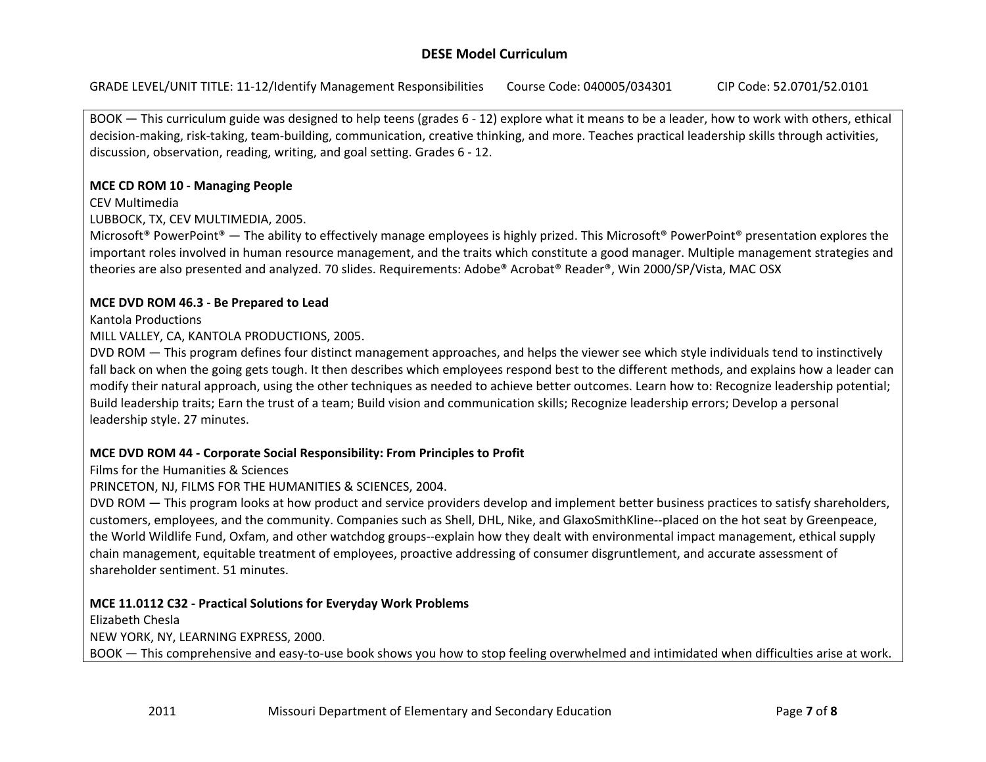GRADE LEVEL/UNIT TITLE: 11‐12/Identify Management Responsibilities Course Code: 040005/034301 CIP Code: 52.0701/52.0101

BOOK — This curriculum guide was designed to help teens (grades 6 ‐ 12) explore what it means to be <sup>a</sup> leader, how to work with others, ethical decision‐making, risk‐taking, team‐building, communication, creative thinking, and more. Teaches practical leadership skills through activities, discussion, observation, reading, writing, and goal setting. Grades 6 ‐ 12.

## **MCE CD ROM 10 ‐ Managing People**

CEV Multimedia

LUBBOCK, TX, CEV MULTIMEDIA, 2005.

Microsoft® PowerPoint® — The ability to effectively manage employees is highly prized. This Microsoft® PowerPoint® presentation explores the important roles involved in human resource management, and the traits which constitute <sup>a</sup> good manager. Multiple management strategies and theories are also presented and analyzed. 70 slides. Requirements: Adobe® Acrobat® Reader®, Win 2000/SP/Vista, MAC OSX

## **MCE DVD ROM 46.3 ‐ Be Prepared to Lead**

Kantola Productions

MILL VALLEY, CA, KANTOLA PRODUCTIONS, 2005.

DVD ROM — This program defines four distinct management approaches, and helps the viewer see which style individuals tend to instinctively fall back on when the going gets tough. It then describes which employees respond best to the different methods, and explains how <sup>a</sup> leader can modify their natural approach, using the other techniques as needed to achieve better outcomes. Learn how to: Recognize leadership potential; Build leadership traits; Earn the trust of <sup>a</sup> team; Build vision and communication skills; Recognize leadership errors; Develop <sup>a</sup> personal leadership style. 27 minutes.

# **MCE DVD ROM 44 ‐ Corporate Social Responsibility: From Principles to Profit**

Films for the Humanities & Sciences

PRINCETON, NJ, FILMS FOR THE HUMANITIES & SCIENCES, 2004.

DVD ROM — This program looks at how product and service providers develop and implement better business practices to satisfy shareholders, customers, employees, and the community. Companies such as Shell, DHL, Nike, and GlaxoSmithKline‐‐placed on the hot seat by Greenpeace, the World Wildlife Fund, Oxfam, and other watchdog groups‐‐explain how they dealt with environmental impact management, ethical supply chain management, equitable treatment of employees, proactive addressing of consumer disgruntlement, and accurate assessment of shareholder sentiment. 51 minutes.

# **MCE 11.0112 C32 ‐ Practical Solutions for Everyday Work Problems**

Elizabeth Chesla

NEW YORK, NY, LEARNING EXPRESS, 2000.

BOOK — This comprehensive and easy‐to‐use book shows you how to stop feeling overwhelmed and intimidated when difficulties arise at work.